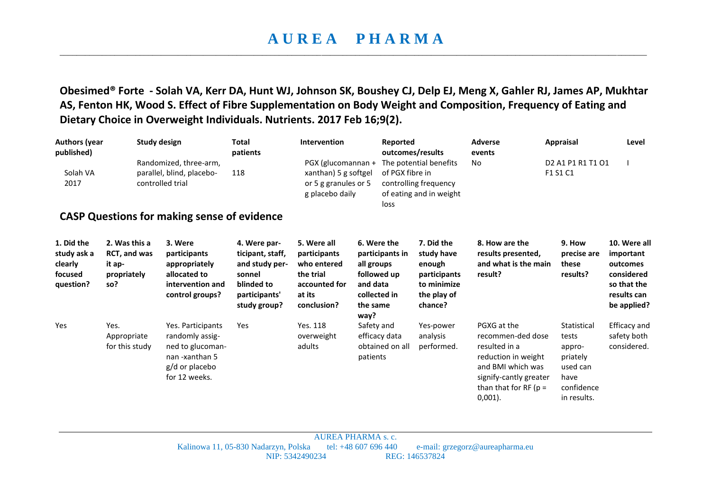**Obesimed® Forte - Solah VA, Kerr DA, Hunt WJ, Johnson SK, Boushey CJ, Delp EJ, Meng X, Gahler RJ, James AP, Mukhtar AS, Fenton HK, Wood S. Effect of Fibre Supplementation on Body Weight and Composition, Frequency of Eating and Dietary Choice in Overweight Individuals. Nutrients. 2017 Feb 16;9(2).**

| <b>Authors (year</b><br>published)                           |                                                               | <b>Study design</b><br>Randomized, three-arm,                                                                 |                                                                                                             | <b>Intervention</b><br>Reported<br>PGX (glucomannan +                                             |                                                                                                             | outcomes/results<br>The potential benefits                                                  | <b>Adverse</b><br>events<br>No                                                                                                                                    | <b>Appraisal</b><br>D <sub>2</sub> A <sub>1</sub> P <sub>1</sub> R <sub>1</sub> T <sub>1</sub> O <sub>1</sub> | Level                                                                                            |
|--------------------------------------------------------------|---------------------------------------------------------------|---------------------------------------------------------------------------------------------------------------|-------------------------------------------------------------------------------------------------------------|---------------------------------------------------------------------------------------------------|-------------------------------------------------------------------------------------------------------------|---------------------------------------------------------------------------------------------|-------------------------------------------------------------------------------------------------------------------------------------------------------------------|---------------------------------------------------------------------------------------------------------------|--------------------------------------------------------------------------------------------------|
| Solah VA<br>2017                                             |                                                               | parallel, blind, placebo-<br>controlled trial                                                                 |                                                                                                             | xanthan) 5 g softgel<br>or 5 g granules or 5<br>g placebo daily                                   | loss                                                                                                        | of PGX fibre in<br>controlling frequency<br>of eating and in weight                         |                                                                                                                                                                   | F1 S1 C1                                                                                                      |                                                                                                  |
|                                                              |                                                               | <b>CASP Questions for making sense of evidence</b>                                                            |                                                                                                             |                                                                                                   |                                                                                                             |                                                                                             |                                                                                                                                                                   |                                                                                                               |                                                                                                  |
| 1. Did the<br>study ask a<br>clearly<br>focused<br>question? | 2. Was this a<br>RCT, and was<br>it ap-<br>propriately<br>so? | 3. Were<br>participants<br>appropriately<br>allocated to<br>intervention and<br>control groups?               | 4. Were par-<br>ticipant, staff,<br>and study per-<br>sonnel<br>blinded to<br>participants'<br>study group? | 5. Were all<br>participants<br>who entered<br>the trial<br>accounted for<br>at its<br>conclusion? | 6. Were the<br>participants in<br>all groups<br>followed up<br>and data<br>collected in<br>the same<br>way? | 7. Did the<br>study have<br>enough<br>participants<br>to minimize<br>the play of<br>chance? | 8. How are the<br>results presented,<br>and what is the main<br>result?                                                                                           | 9. How<br>precise are<br>these<br>results?                                                                    | 10. Were all<br>important<br>outcomes<br>considered<br>so that the<br>results can<br>be applied? |
| Yes                                                          | Yes.<br>Appropriate<br>for this study                         | Yes. Participants<br>randomly assig-<br>ned to glucoman-<br>nan -xanthan 5<br>g/d or placebo<br>for 12 weeks. | Yes                                                                                                         | Yes. 118<br>overweight<br>adults                                                                  | Safety and<br>efficacy data<br>obtained on all<br>patients                                                  | Yes-power<br>analysis<br>performed.                                                         | PGXG at the<br>recommen-ded dose<br>resulted in a<br>reduction in weight<br>and BMI which was<br>signify-cantly greater<br>than that for RF ( $p =$<br>$0,001$ ). | Statistical<br>tests<br>appro-<br>priately<br>used can<br>have<br>confidence<br>in results.                   | Efficacy and<br>safety both<br>considered.                                                       |